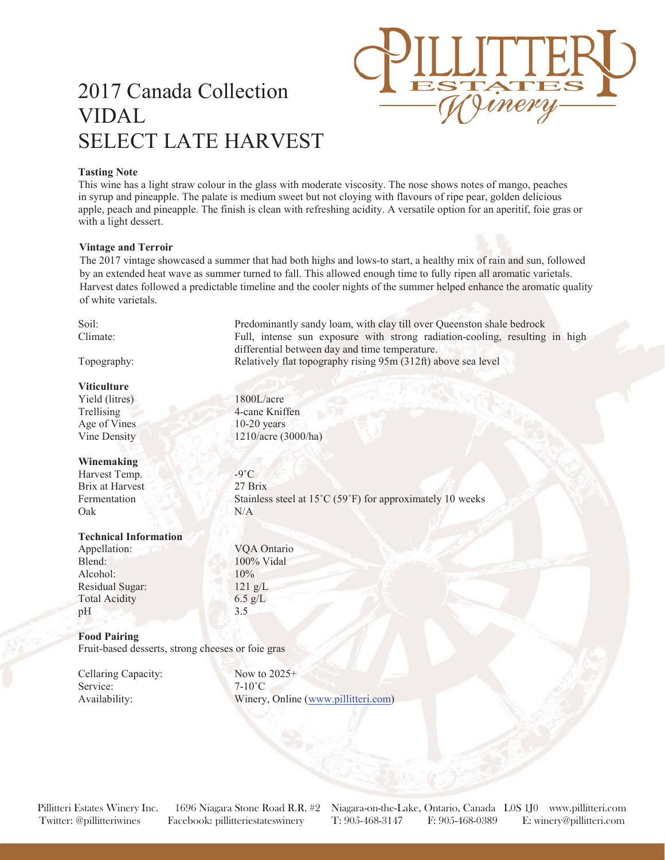## 2017 Canada Collection VIDAL SELECT LATE HARVEST

## **Tasting Note**

This wine has a light straw colour in the glass with moderate viscosity. The nose shows notes of mango, peaches in syrup and pineapple. The palate is medium sweet but not cloying with flavours of ripe pear, golden delicious apple, peach and pineapple. The finish is clean with refreshing acidity. A versatile option for an aperitif, foie gras or with a light dessert.

## **Vintage and Terroir**

The 2017 vintage showcased a summer that had both highs and lows-to start, a healthy mix of rain and sun, followed by an extended heat wave as summer turned to fall. This allowed enough time to fully ripen all aromatic varietals. Harvest dates followed a predictable timeline and the cooler nights of the summer helped enhance the aromatic quality of white varietals.

| Soil:                                             | Predominantly sandy loam, with clay till over Queenston shale bedrock       |
|---------------------------------------------------|-----------------------------------------------------------------------------|
| Climate:                                          | Full, intense sun exposure with strong radiation-cooling, resulting in high |
|                                                   | differential between day and time temperature.                              |
| Topography:                                       | Relatively flat topography rising 95m (312ft) above sea level               |
|                                                   |                                                                             |
| <b>Viticulture</b>                                |                                                                             |
| Yield (litres)                                    | 1800L/acre                                                                  |
| Trellising                                        | 4-cane Kniffen                                                              |
| Age of Vines                                      | $10-20$ years                                                               |
| Vine Density                                      | 1210/acre (3000/ha)                                                         |
| Winemaking                                        |                                                                             |
| Harvest Temp.                                     | $-9^{\circ}C$                                                               |
| <b>Brix at Harvest</b>                            | 27 Brix                                                                     |
| Fermentation                                      | Stainless steel at 15°C (59°F) for approximately 10 weeks                   |
| Oak                                               | N/A                                                                         |
| <b>Technical Information</b>                      |                                                                             |
|                                                   | VQA Ontario                                                                 |
| Appellation:                                      |                                                                             |
| Blend:                                            | 100% Vidal                                                                  |
| Alcohol:                                          | 10%                                                                         |
| Residual Sugar:                                   | $121$ g/L                                                                   |
| <b>Total Acidity</b>                              | $6.5$ g/L                                                                   |
| pH                                                | 3.5                                                                         |
| <b>Food Pairing</b>                               |                                                                             |
| Fruit-based desserts, strong cheeses or foie gras |                                                                             |
| Cellaring Capacity:                               | Now to $2025+$                                                              |
| Service:                                          | $7-10^{\circ}$ C                                                            |
| Availability:                                     | Winery, Online (www.pillitteri.com)                                         |
|                                                   |                                                                             |

Pillitteri Estates Winery Inc. 1696 Niagara Stone Road R.R. #2 Niagara-on-the-Lake, Ontario, Canada L0S 1J0 www.pillitteri.com Twitter: @pillitteriwines Facebook: pillitteriestateswinery T: 905-468-3147 F: 905-468-0389 E: winery@pillitteri.com

 $\ell m$